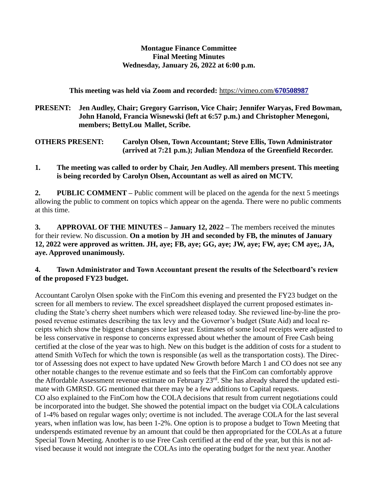## **Montague Finance Committee Final Meeting Minutes Wednesday, January 26, 2022 at 6:00 p.m.**

## **This meeting was held via Zoom and recorded:** [https://vimeo.com/](https://vimeo.com/670508987)**[670508987](https://vimeo.com/670508987)**

**PRESENT: Jen Audley, Chair; Gregory Garrison, Vice Chair; Jennifer Waryas, Fred Bowman, John Hanold, Francia Wisnewski (left at 6:57 p.m.) and Christopher Menegoni, members; BettyLou Mallet, Scribe.**

**OTHERS PRESENT: Carolyn Olsen, Town Accountant; Steve Ellis, Town Administrator (arrived at 7:21 p.m.); Julian Mendoza of the Greenfield Recorder.**

**1. The meeting was called to order by Chair, Jen Audley. All members present. This meeting is being recorded by Carolyn Olsen, Accountant as well as aired on MCTV.**

**2. PUBLIC COMMENT –** Public comment will be placed on the agenda for the next 5 meetings allowing the public to comment on topics which appear on the agenda. There were no public comments at this time.

**3. APPROVAL OF THE MINUTES – January 12, 2022 –** The members received the minutes for their review. No discussion. **On a motion by JH and seconded by FB, the minutes of January 12, 2022 were approved as written. JH, aye; FB, aye; GG, aye; JW, aye; FW, aye; CM aye;, JA, aye. Approved unanimously.**

## **4. Town Administrator and Town Accountant present the results of the Selectboard's review of the proposed FY23 budget.**

Accountant Carolyn Olsen spoke with the FinCom this evening and presented the FY23 budget on the screen for all members to review. The excel spreadsheet displayed the current proposed estimates including the State's cherry sheet numbers which were released today. She reviewed line-by-line the proposed revenue estimates describing the tax levy and the Governor's budget (State Aid) and local receipts which show the biggest changes since last year. Estimates of some local receipts were adjusted to be less conservative in response to concerns expressed about whether the amount of Free Cash being certified at the close of the year was to high. New on this budget is the addition of costs for a student to attend Smith VoTech for which the town is responsible (as well as the transportation costs). The Director of Assessing does not expect to have updated New Growth before March 1 and CO does not see any other notable changes to the revenue estimate and so feels that the FinCom can comfortably approve the Affordable Assessment revenue estimate on February 23<sup>rd</sup>. She has already shared the updated estimate with GMRSD. GG mentioned that there may be a few additions to Capital requests. CO also explained to the FinCom how the COLA decisions that result from current negotiations could be incorporated into the budget. She showed the potential impact on the budget via COLA calculations of 1-4% based on regular wages only; overtime is not included. The average COLA for the last several years, when inflation was low, has been 1-2%. One option is to propose a budget to Town Meeting that underspends estimated revenue by an amount that could be then appropriated for the COLAs at a future Special Town Meeting. Another is to use Free Cash certified at the end of the year, but this is not advised because it would not integrate the COLAs into the operating budget for the next year. Another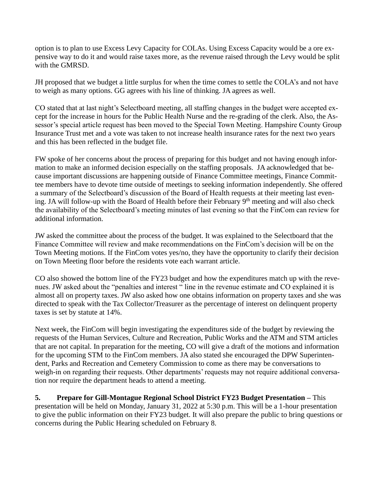option is to plan to use Excess Levy Capacity for COLAs. Using Excess Capacity would be a ore expensive way to do it and would raise taxes more, as the revenue raised through the Levy would be split with the GMRSD.

JH proposed that we budget a little surplus for when the time comes to settle the COLA's and not have to weigh as many options. GG agrees with his line of thinking. JA agrees as well.

CO stated that at last night's Selectboard meeting, all staffing changes in the budget were accepted except for the increase in hours for the Public Health Nurse and the re-grading of the clerk. Also, the Assessor's special article request has been moved to the Special Town Meeting. Hampshire County Group Insurance Trust met and a vote was taken to not increase health insurance rates for the next two years and this has been reflected in the budget file.

FW spoke of her concerns about the process of preparing for this budget and not having enough information to make an informed decision especially on the staffing proposals. JA acknowledged that because important discussions are happening outside of Finance Committee meetings, Finance Committee members have to devote time outside of meetings to seeking information independently. She offered a summary of the Selectboard's discussion of the Board of Health requests at their meeting last evening. JA will follow-up with the Board of Health before their February 9<sup>th</sup> meeting and will also check the availability of the Selectboard's meeting minutes of last evening so that the FinCom can review for additional information.

JW asked the committee about the process of the budget. It was explained to the Selectboard that the Finance Committee will review and make recommendations on the FinCom's decision will be on the Town Meeting motions. If the FinCom votes yes/no, they have the opportunity to clarify their decision on Town Meeting floor before the residents vote each warrant article.

CO also showed the bottom line of the FY23 budget and how the expenditures match up with the revenues. JW asked about the "penalties and interest " line in the revenue estimate and CO explained it is almost all on property taxes. JW also asked how one obtains information on property taxes and she was directed to speak with the Tax Collector/Treasurer as the percentage of interest on delinquent property taxes is set by statute at 14%.

Next week, the FinCom will begin investigating the expenditures side of the budget by reviewing the requests of the Human Services, Culture and Recreation, Public Works and the ATM and STM articles that are not capital. In preparation for the meeting, CO will give a draft of the motions and information for the upcoming STM to the FinCom members. JA also stated she encouraged the DPW Superintendent, Parks and Recreation and Cemetery Commission to come as there may be conversations to weigh-in on regarding their requests. Other departments' requests may not require additional conversation nor require the department heads to attend a meeting.

**5. Prepare for Gill-Montague Regional School District FY23 Budget Presentation –** This presentation will be held on Monday, January 31, 2022 at 5:30 p.m. This will be a 1-hour presentation to give the public information on their FY23 budget. It will also prepare the public to bring questions or concerns during the Public Hearing scheduled on February 8.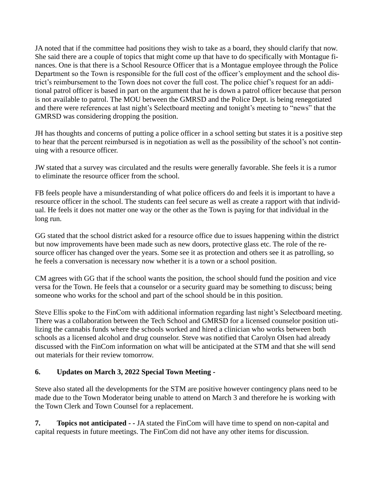JA noted that if the committee had positions they wish to take as a board, they should clarify that now. She said there are a couple of topics that might come up that have to do specifically with Montague finances. One is that there is a School Resource Officer that is a Montague employee through the Police Department so the Town is responsible for the full cost of the officer's employment and the school district's reimbursement to the Town does not cover the full cost. The police chief's request for an additional patrol officer is based in part on the argument that he is down a patrol officer because that person is not available to patrol. The MOU between the GMRSD and the Police Dept. is being renegotiated and there were references at last night's Selectboard meeting and tonight's meeting to "news" that the GMRSD was considering dropping the position.

JH has thoughts and concerns of putting a police officer in a school setting but states it is a positive step to hear that the percent reimbursed is in negotiation as well as the possibility of the school's not continuing with a resource officer.

JW stated that a survey was circulated and the results were generally favorable. She feels it is a rumor to eliminate the resource officer from the school.

FB feels people have a misunderstanding of what police officers do and feels it is important to have a resource officer in the school. The students can feel secure as well as create a rapport with that individual. He feels it does not matter one way or the other as the Town is paying for that individual in the long run.

GG stated that the school district asked for a resource office due to issues happening within the district but now improvements have been made such as new doors, protective glass etc. The role of the resource officer has changed over the years. Some see it as protection and others see it as patrolling, so he feels a conversation is necessary now whether it is a town or a school position.

CM agrees with GG that if the school wants the position, the school should fund the position and vice versa for the Town. He feels that a counselor or a security guard may be something to discuss; being someone who works for the school and part of the school should be in this position.

Steve Ellis spoke to the FinCom with additional information regarding last night's Selectboard meeting. There was a collaboration between the Tech School and GMRSD for a licensed counselor position utilizing the cannabis funds where the schools worked and hired a clinician who works between both schools as a licensed alcohol and drug counselor. Steve was notified that Carolyn Olsen had already discussed with the FinCom information on what will be anticipated at the STM and that she will send out materials for their review tomorrow.

## **6. Updates on March 3, 2022 Special Town Meeting -**

Steve also stated all the developments for the STM are positive however contingency plans need to be made due to the Town Moderator being unable to attend on March 3 and therefore he is working with the Town Clerk and Town Counsel for a replacement.

**7. Topics not anticipated - -** JA stated the FinCom will have time to spend on non-capital and capital requests in future meetings. The FinCom did not have any other items for discussion.